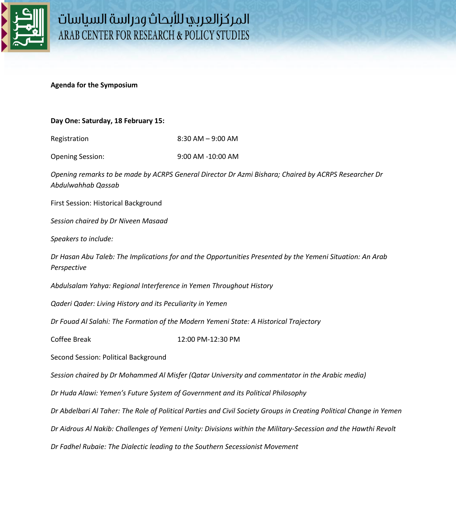

## **Agenda for the Symposium**

## **Day One: Saturday, 18 February 15:**

Registration 8:30 AM – 9:00 AM

Opening Session: 9:00 AM -10:00 AM

*Opening remarks to be made by ACRPS General Director Dr Azmi Bishara; Chaired by ACRPS Researcher Dr Abdulwahhab Qassab*

First Session: Historical Background

*Session chaired by Dr Niveen Masaad* 

*Speakers to include:* 

*Dr Hasan Abu Taleb: The Implications for and the Opportunities Presented by the Yemeni Situation: An Arab Perspective* 

*Abdulsalam Yahya: Regional Interference in Yemen Throughout History* 

*Qaderi Qader: Living History and its Peculiarity in Yemen* 

*Dr Fouad Al Salahi: The Formation of the Modern Yemeni State: A Historical Trajectory* 

Coffee Break 12:00 PM-12:30 PM

Second Session: Political Background

*Session chaired by Dr Mohammed Al Misfer (Qatar University and commentator in the Arabic media)*

*Dr Huda Alawi: Yemen's Future System of Government and its Political Philosophy* 

*Dr Abdelbari Al Taher: The Role of Political Parties and Civil Society Groups in Creating Political Change in Yemen* 

*Dr Aidrous Al Nakib: Challenges of Yemeni Unity: Divisions within the Military-Secession and the Hawthi Revolt* 

*Dr Fadhel Rubaie: The Dialectic leading to the Southern Secessionist Movement*